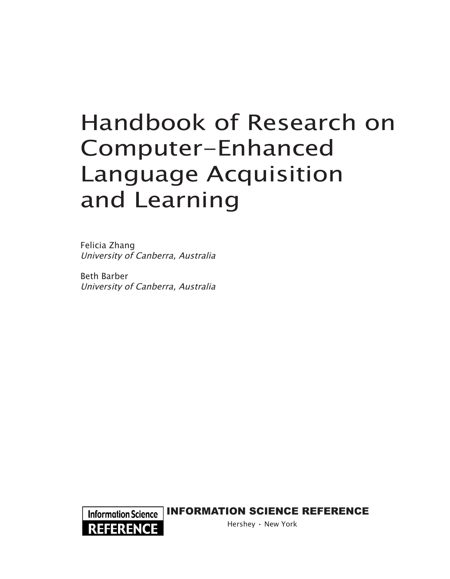# Handbook of Research on Computer-Enhanced Language Acquisition and Learning

Felicia Zhang University of Canberra, Australia

Beth Barber University of Canberra, Australia



InformatIon scIence reference

Hershey • New York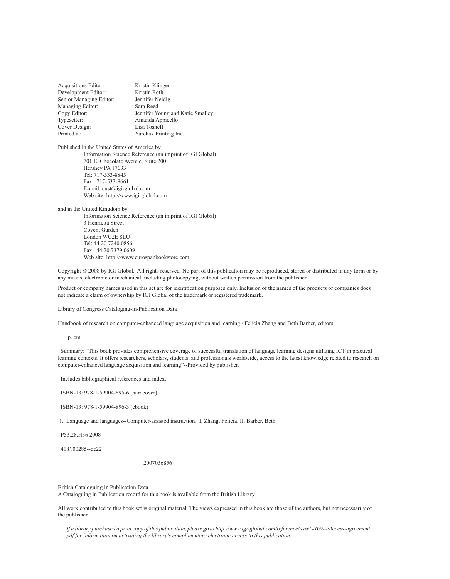Acquisitions Editor: Kristin Klinger Development Editor: Kristin Roth<br>Senior Managing Editor: Jennifer Neidig Senior Managing Editor: Managing Editor: Sara Reed Copy Editor: Jennifer Young and Katie Smalley<br>Typesetter: Amanda Appicello Amanda Appicello Cover Design: Lisa Tosheff Yurchak Printing Inc.

Published in the United States of America by Information Science Reference (an imprint of IGI Global) 701 E. Chocolate Avenue, Suite 200 Hershey PA 17033 Tel: 717-533-8845 Fax: 717-533-8661 E-mail: cust@igi-global.com Web site: http://www.igi-global.com

and in the United Kingdom by

Information Science Reference (an imprint of IGI Global) 3 Henrietta Street Covent Garden London WC2E 8LU Tel: 44 20 7240 0856 Fax: 44 20 7379 0609 Web site: http:///www.eurospanbookstore.com

Copyright © 2008 by IGI Global. All rights reserved. No part of this publication may be reproduced, stored or distributed in any form or by any means, electronic or mechanical, including photocopying, without written permission from the publisher.

Product or company names used in this set are for identification purposes only. Inclusion of the names of the products or companies does not indicate a claim of ownership by IGI Global of the trademark or registered trademark.

Library of Congress Cataloging-in-Publication Data

Handbook of research on computer-enhanced language acquisition and learning / Felicia Zhang and Beth Barber, editors.

p. cm.

 Summary: "This book provides comprehensive coverage of successful translation of language learning designs utilizing ICT in practical learning contexts. It offers researchers, scholars, students, and professionals worldwide, access to the latest knowledge related to research on computer-enhanced language acquisition and learning"--Provided by publisher.

Includes bibliographical references and index.

ISBN-13: 978-1-59904-895-6 (hardcover)

ISBN-13: 978-1-59904-896-3 (ebook)

1. Language and languages--Computer-assisted instruction. I. Zhang, Felicia. II. Barber, Beth.

P53.28.H36 2008

418'.00285--dc22

2007036856

British Cataloguing in Publication Data A Cataloguing in Publication record for this book is available from the British Library.

All work contributed to this book set is original material. The views expressed in this book are those of the authors, but not necessarily of the publisher.

*If a library purchased a print copy of this publication, please go to http://www.igi-global.com/reference/assets/IGR-eAccess-agreement. pdf for information on activating the library's complimentary electronic access to this publication.*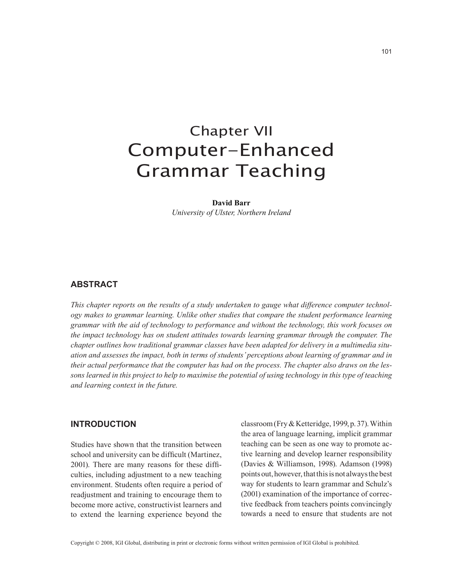# Chapter VII Computer-Enhanced Grammar Teaching

**David Barr** *University of Ulster, Northern Ireland*

#### **aBstract**

*This chapter reports on the results of a study undertaken to gauge what difference computer technology makes to grammar learning. Unlike other studies that compare the student performance learning grammar with the aid of technology to performance and without the technology, this work focuses on the impact technology has on student attitudes towards learning grammar through the computer. The chapter outlines how traditional grammar classes have been adapted for delivery in a multimedia situation and assesses the impact, both in terms of students' perceptions about learning of grammar and in their actual performance that the computer has had on the process. The chapter also draws on the lessons learned in this project to help to maximise the potential of using technology in this type of teaching and learning context in the future.*

#### **introduction**

Studies have shown that the transition between school and university can be difficult (Martinez, 2001). There are many reasons for these difficulties, including adjustment to a new teaching environment. Students often require a period of readjustment and training to encourage them to become more active, constructivist learners and to extend the learning experience beyond the

classroom (Fry & Ketteridge, 1999, p. 37). Within the area of language learning, implicit grammar teaching can be seen as one way to promote active learning and develop learner responsibility (Davies & Williamson, 1998). Adamson (1998) points out, however, that this is not always the best way for students to learn grammar and Schulz's (2001) examination of the importance of corrective feedback from teachers points convincingly towards a need to ensure that students are not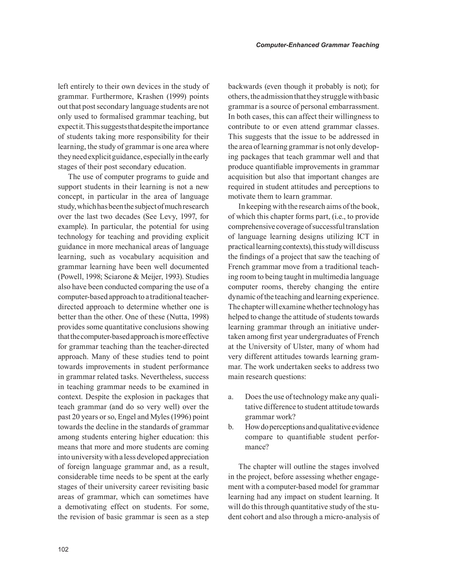left entirely to their own devices in the study of grammar. Furthermore, Krashen (1999) points out that post secondary language students are not only used to formalised grammar teaching, but expect it. This suggests that despite the importance of students taking more responsibility for their learning, the study of grammar is one area where they need explicit guidance, especially in the early stages of their post secondary education.

The use of computer programs to guide and support students in their learning is not a new concept, in particular in the area of language study, which has been the subject of much research over the last two decades (See Levy, 1997, for example). In particular, the potential for using technology for teaching and providing explicit guidance in more mechanical areas of language learning, such as vocabulary acquisition and grammar learning have been well documented (Powell, 1998; Sciarone & Meijer, 1993). Studies also have been conducted comparing the use of a computer-based approach to a traditional teacherdirected approach to determine whether one is better than the other. One of these (Nutta, 1998) provides some quantitative conclusions showing that the computer-based approach is more effective for grammar teaching than the teacher-directed approach. Many of these studies tend to point towards improvements in student performance in grammar related tasks. Nevertheless, success in teaching grammar needs to be examined in context. Despite the explosion in packages that teach grammar (and do so very well) over the past 20 years or so, Engel and Myles (1996) point towards the decline in the standards of grammar among students entering higher education: this means that more and more students are coming into university with a less developed appreciation of foreign language grammar and, as a result, considerable time needs to be spent at the early stages of their university career revisiting basic areas of grammar, which can sometimes have a demotivating effect on students. For some, the revision of basic grammar is seen as a step backwards (even though it probably is not); for others, the admission that they struggle with basic grammar is a source of personal embarrassment. In both cases, this can affect their willingness to contribute to or even attend grammar classes. This suggests that the issue to be addressed in the area of learning grammar is not only developing packages that teach grammar well and that produce quantifiable improvements in grammar acquisition but also that important changes are required in student attitudes and perceptions to motivate them to learn grammar.

In keeping with the research aims of the book, of which this chapter forms part, (i.e., to provide comprehensive coverage of successful translation of language learning designs utilizing ICT in practical learning contexts), this study will discuss the findings of a project that saw the teaching of French grammar move from a traditional teaching room to being taught in multimedia language computer rooms, thereby changing the entire dynamic of the teaching and learning experience. The chapter will examine whether technology has helped to change the attitude of students towards learning grammar through an initiative undertaken among first year undergraduates of French at the University of Ulster, many of whom had very different attitudes towards learning grammar. The work undertaken seeks to address two main research questions:

- a. Does the use of technology make any qualitative difference to student attitude towards grammar work?
- b. How do perceptions and qualitative evidence compare to quantifiable student performance?

The chapter will outline the stages involved in the project, before assessing whether engagement with a computer-based model for grammar learning had any impact on student learning. It will do this through quantitative study of the student cohort and also through a micro-analysis of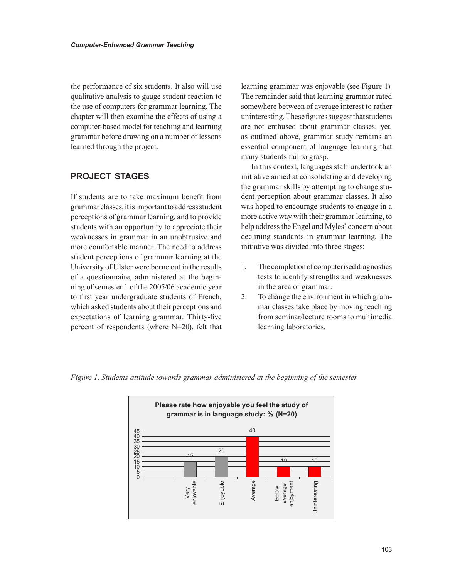the performance of six students. It also will use qualitative analysis to gauge student reaction to the use of computers for grammar learning. The chapter will then examine the effects of using a computer-based model for teaching and learning grammar before drawing on a number of lessons learned through the project.

## **ProJect stages**

If students are to take maximum benefit from grammar classes, it is important to address student perceptions of grammar learning, and to provide students with an opportunity to appreciate their weaknesses in grammar in an unobtrusive and more comfortable manner. The need to address student perceptions of grammar learning at the University of Ulster were borne out in the results of a questionnaire, administered at the beginning of semester 1 of the 2005/06 academic year to first year undergraduate students of French, which asked students about their perceptions and expectations of learning grammar. Thirty-five percent of respondents (where N=20), felt that

learning grammar was enjoyable (see Figure 1). The remainder said that learning grammar rated somewhere between of average interest to rather uninteresting. These figures suggest that students are not enthused about grammar classes, yet, as outlined above, grammar study remains an essential component of language learning that many students fail to grasp.

In this context, languages staff undertook an initiative aimed at consolidating and developing the grammar skills by attempting to change student perception about grammar classes. It also was hoped to encourage students to engage in a more active way with their grammar learning, to help address the Engel and Myles' concern about declining standards in grammar learning. The initiative was divided into three stages:

- 1. The completion of computerised diagnostics tests to identify strengths and weaknesses in the area of grammar.
- 2. To change the environment in which grammar classes take place by moving teaching from seminar/lecture rooms to multimedia learning laboratories.



*Figure 1. Students attitude towards grammar administered at the beginning of the semester*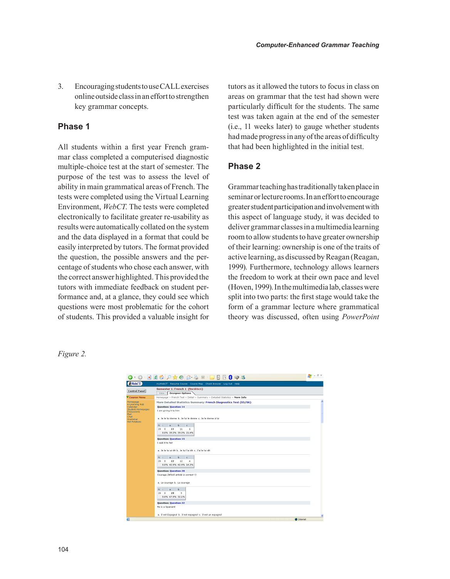3. Encouraging students to use CALL exercises online outside class in an effort to strengthen key grammar concepts.

#### **Phase 1**

All students within a first year French grammar class completed a computerised diagnostic multiple-choice test at the start of semester. The purpose of the test was to assess the level of ability in main grammatical areas of French. The tests were completed using the Virtual Learning Environment, *WebCT*. The tests were completed electronically to facilitate greater re-usability as results were automatically collated on the system and the data displayed in a format that could be easily interpreted by tutors. The format provided the question, the possible answers and the percentage of students who chose each answer, with the correct answer highlighted. This provided the tutors with immediate feedback on student performance and, at a glance, they could see which questions were most problematic for the cohort of students. This provided a valuable insight for tutors as it allowed the tutors to focus in class on areas on grammar that the test had shown were particularly difficult for the students. The same test was taken again at the end of the semester (i.e., 11 weeks later) to gauge whether students had made progress in any of the areas of difficulty that had been highlighted in the initial test.

#### **Phase 2**

Grammar teaching has traditionally taken place in seminar or lecture rooms. In an effort to encourage greater student participation and involvement with this aspect of language study, it was decided to deliver grammar classes in a multimedia learning room to allow students to have greater ownership of their learning: ownership is one of the traits of active learning, as discussed by Reagan (Reagan, 1999). Furthermore, technology allows learners the freedom to work at their own pace and level (Hoven, 1999). In the multimedia lab, classes were split into two parts: the first stage would take the form of a grammar lecture where grammatical theory was discussed, often using *PowerPoint*

#### *Figure 2.*

|                                                                                                                                            | $\text{\textcircled{0}} \cdot \text{\textcolor{red}{\textbf{1}}} \text{\textcolor{red}{\textbf{2}}} \text{\textcolor{red}{\textbf{2}}} \text{\textcolor{red}{\textbf{1}}} \text{\textcolor{red}{\textbf{2}}} \text{\textcolor{red}{\textbf{2}}} \text{\textcolor{red}{\textbf{2}}} \text{\textcolor{red}{\textbf{3}}} \text{\textcolor{red}{\textbf{3}}} \text{\textcolor{red}{\textbf{3}}} \text{\textcolor{red}{\textbf{3}}} \text{\textcolor{red}{\textbf{4}}} \text{\textcolor{red}{\textbf{5}}} \text{\textcolor{red}{\textbf{5}}} \text{\textcolor{red}{\textbf{6$ |  |
|--------------------------------------------------------------------------------------------------------------------------------------------|--------------------------------------------------------------------------------------------------------------------------------------------------------------------------------------------------------------------------------------------------------------------------------------------------------------------------------------------------------------------------------------------------------------------------------------------------------------------------------------------------------------------------------------------------------------------------|--|
| <b>AWebCT</b>                                                                                                                              | myWebCT Resume Course Course Map Check Browser Log Out Help                                                                                                                                                                                                                                                                                                                                                                                                                                                                                                              |  |
| <b>Control Panel</b>                                                                                                                       | Semester 1: French 1 (fre101c1)<br>Designer Options<br>View.                                                                                                                                                                                                                                                                                                                                                                                                                                                                                                             |  |
| Course Menu                                                                                                                                | Homepage > French Test > Detail > Summary > Detailed Statistics > More Info                                                                                                                                                                                                                                                                                                                                                                                                                                                                                              |  |
| Homepage<br>e-Learning Hub<br>Calendar<br><b>Student Homepages</b><br><b>Discussions</b><br>Mail<br>Chat<br>Grammar<br><b>Hot Potatoes</b> | More Detailed Statistics Summary: French Diagnostics Test (05/06)                                                                                                                                                                                                                                                                                                                                                                                                                                                                                                        |  |
|                                                                                                                                            | <b>Question: Question 14</b>                                                                                                                                                                                                                                                                                                                                                                                                                                                                                                                                             |  |
|                                                                                                                                            | I am giving it to him                                                                                                                                                                                                                                                                                                                                                                                                                                                                                                                                                    |  |
|                                                                                                                                            | a. Te le lui donne b. Te lui le donne c. Te le donne à lui-                                                                                                                                                                                                                                                                                                                                                                                                                                                                                                              |  |
|                                                                                                                                            | N<br>$\mathbf b$<br>$\partial$<br>$\epsilon$<br>$\sim$                                                                                                                                                                                                                                                                                                                                                                                                                                                                                                                   |  |
|                                                                                                                                            | $\ddot{\phantom{0}}$<br>28<br>$_{ii}$<br>11<br>6                                                                                                                                                                                                                                                                                                                                                                                                                                                                                                                         |  |
|                                                                                                                                            | 0.0% 39.3% 39.3% 21.4%                                                                                                                                                                                                                                                                                                                                                                                                                                                                                                                                                   |  |
|                                                                                                                                            | <b>Question: Question 15</b>                                                                                                                                                                                                                                                                                                                                                                                                                                                                                                                                             |  |
|                                                                                                                                            | I said it to her                                                                                                                                                                                                                                                                                                                                                                                                                                                                                                                                                         |  |
|                                                                                                                                            |                                                                                                                                                                                                                                                                                                                                                                                                                                                                                                                                                                          |  |
|                                                                                                                                            | a. Je le lui ai dit b. Je lui l'ai dit c. J'ai le lui dit                                                                                                                                                                                                                                                                                                                                                                                                                                                                                                                |  |
|                                                                                                                                            | N<br>$\mathbf b$<br>$\epsilon$<br>a                                                                                                                                                                                                                                                                                                                                                                                                                                                                                                                                      |  |
|                                                                                                                                            | 12<br>12<br>28<br>$\overline{0}$<br>4                                                                                                                                                                                                                                                                                                                                                                                                                                                                                                                                    |  |
|                                                                                                                                            | 0.0% 42.9% 42.9% 14.3%                                                                                                                                                                                                                                                                                                                                                                                                                                                                                                                                                   |  |
|                                                                                                                                            | <b>Question: Question 28</b>                                                                                                                                                                                                                                                                                                                                                                                                                                                                                                                                             |  |
|                                                                                                                                            | Courage (Which article is correct ?)                                                                                                                                                                                                                                                                                                                                                                                                                                                                                                                                     |  |
|                                                                                                                                            |                                                                                                                                                                                                                                                                                                                                                                                                                                                                                                                                                                          |  |
|                                                                                                                                            | a. Le courage b. La courage                                                                                                                                                                                                                                                                                                                                                                                                                                                                                                                                              |  |
|                                                                                                                                            | $b$<br>$\overline{a}$<br>$\overline{N}$<br>L.                                                                                                                                                                                                                                                                                                                                                                                                                                                                                                                            |  |
|                                                                                                                                            | $\sim$ 0<br>19<br>9<br>28                                                                                                                                                                                                                                                                                                                                                                                                                                                                                                                                                |  |
|                                                                                                                                            | 0.0% 67.9% 32.1%                                                                                                                                                                                                                                                                                                                                                                                                                                                                                                                                                         |  |
|                                                                                                                                            | <b>Question: Question 22</b>                                                                                                                                                                                                                                                                                                                                                                                                                                                                                                                                             |  |
|                                                                                                                                            | He is a Spaniard                                                                                                                                                                                                                                                                                                                                                                                                                                                                                                                                                         |  |
|                                                                                                                                            |                                                                                                                                                                                                                                                                                                                                                                                                                                                                                                                                                                          |  |
|                                                                                                                                            | a. Il est Espagnol b. Il est espagnol c. Il est un espagnol                                                                                                                                                                                                                                                                                                                                                                                                                                                                                                              |  |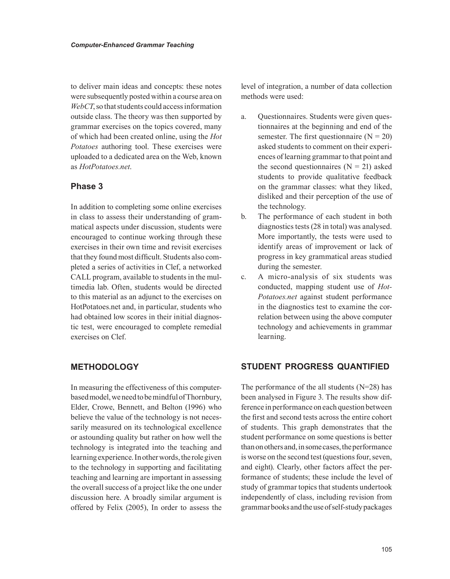to deliver main ideas and concepts: these notes were subsequently posted within a course area on *WebCT*, so that students could access information outside class. The theory was then supported by grammar exercises on the topics covered, many of which had been created online, using the *Hot Potatoes* authoring tool. These exercises were uploaded to a dedicated area on the Web, known as *HotPotatoes.net*.

#### **Phase 3**

In addition to completing some online exercises in class to assess their understanding of grammatical aspects under discussion, students were encouraged to continue working through these exercises in their own time and revisit exercises that they found most difficult. Students also completed a series of activities in Clef, a networked CALL program, available to students in the multimedia lab. Often, students would be directed to this material as an adjunct to the exercises on HotPotatoes.net and, in particular, students who had obtained low scores in their initial diagnostic test, were encouraged to complete remedial exercises on Clef.

#### **methodologY**

In measuring the effectiveness of this computerbased model, we need to be mindful of Thornbury, Elder, Crowe, Bennett, and Belton (1996) who believe the value of the technology is not necessarily measured on its technological excellence or astounding quality but rather on how well the technology is integrated into the teaching and learning experience. In other words, the role given to the technology in supporting and facilitating teaching and learning are important in assessing the overall success of a project like the one under discussion here. A broadly similar argument is offered by Felix (2005), In order to assess the level of integration, a number of data collection methods were used:

- a. Questionnaires. Students were given questionnaires at the beginning and end of the semester. The first questionnaire  $(N = 20)$ asked students to comment on their experiences of learning grammar to that point and the second questionnaires  $(N = 21)$  asked students to provide qualitative feedback on the grammar classes: what they liked, disliked and their perception of the use of the technology.
- b. The performance of each student in both diagnostics tests (28 in total) was analysed. More importantly, the tests were used to identify areas of improvement or lack of progress in key grammatical areas studied during the semester.
- c. A micro-analysis of six students was conducted, mapping student use of *Hot-Potatoes.net* against student performance in the diagnostics test to examine the correlation between using the above computer technology and achievements in grammar learning.

# **student Progress Quantified**

The performance of the all students  $(N=28)$  has been analysed in Figure 3. The results show difference in performance on each question between the first and second tests across the entire cohort of students. This graph demonstrates that the student performance on some questions is better than on others and, in some cases, the performance is worse on the second test (questions four, seven, and eight). Clearly, other factors affect the performance of students; these include the level of study of grammar topics that students undertook independently of class, including revision from grammar books and the use of self-study packages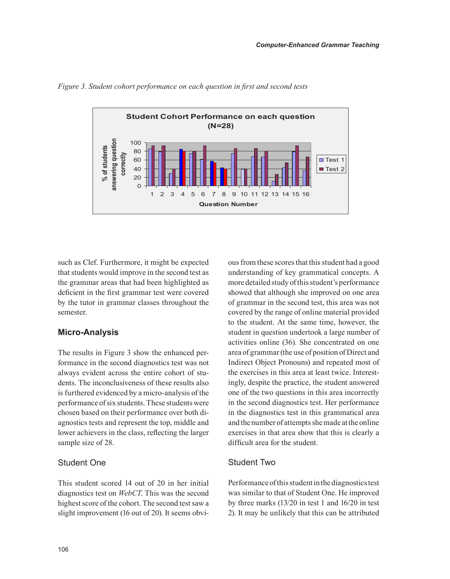

*Figure 3. Student cohort performance on each question in first and second tests*

such as Clef. Furthermore, it might be expected that students would improve in the second test as the grammar areas that had been highlighted as deficient in the first grammar test were covered by the tutor in grammar classes throughout the semester.

#### **micro-analysis**

The results in Figure 3 show the enhanced performance in the second diagnostics test was not always evident across the entire cohort of students. The inconclusiveness of these results also is furthered evidenced by a micro-analysis of the performance of six students. These students were chosen based on their performance over both diagnostics tests and represent the top, middle and lower achievers in the class, reflecting the larger sample size of 28.

#### Student One

This student scored 14 out of 20 in her initial diagnostics test on *WebCT*. This was the second highest score of the cohort. The second test saw a slight improvement (16 out of 20). It seems obvious from these scores that this student had a good understanding of key grammatical concepts. A more detailed study of this student's performance showed that although she improved on one area of grammar in the second test, this area was not covered by the range of online material provided to the student. At the same time, however, the student in question undertook a large number of activities online (36). She concentrated on one area of grammar (the use of position of Direct and Indirect Object Pronouns) and repeated most of the exercises in this area at least twice. Interestingly, despite the practice, the student answered one of the two questions in this area incorrectly in the second diagnostics test. Her performance in the diagnostics test in this grammatical area and the number of attempts she made at the online exercises in that area show that this is clearly a difficult area for the student.

#### Student Two

Performance of this student in the diagnostics test was similar to that of Student One. He improved by three marks (13/20 in test 1 and 16/20 in test 2). It may be unlikely that this can be attributed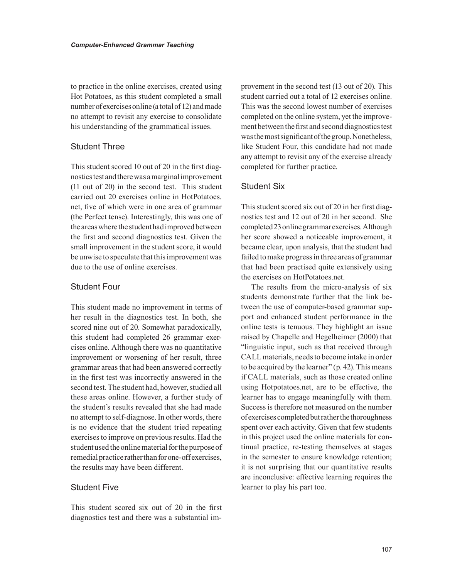to practice in the online exercises, created using Hot Potatoes, as this student completed a small number of exercises online (a total of 12) and made no attempt to revisit any exercise to consolidate his understanding of the grammatical issues.

#### Student Three

This student scored 10 out of 20 in the first diagnostics test and there was a marginal improvement (11 out of 20) in the second test. This student carried out 20 exercises online in HotPotatoes. net, five of which were in one area of grammar (the Perfect tense). Interestingly, this was one of the areas where the student had improved between the first and second diagnostics test. Given the small improvement in the student score, it would be unwise to speculate that this improvement was due to the use of online exercises.

#### Student Four

This student made no improvement in terms of her result in the diagnostics test. In both, she scored nine out of 20. Somewhat paradoxically, this student had completed 26 grammar exercises online. Although there was no quantitative improvement or worsening of her result, three grammar areas that had been answered correctly in the first test was incorrectly answered in the second test. The student had, however, studied all these areas online. However, a further study of the student's results revealed that she had made no attempt to self-diagnose. In other words, there is no evidence that the student tried repeating exercises to improve on previous results. Had the student used the online material for the purpose of remedial practice rather than for one-off exercises, the results may have been different.

#### Student Five

This student scored six out of 20 in the first diagnostics test and there was a substantial im-

provement in the second test (13 out of 20). This student carried out a total of 12 exercises online. This was the second lowest number of exercises completed on the online system, yet the improvement between the first and second diagnostics test was the most significant of the group. Nonetheless, like Student Four, this candidate had not made any attempt to revisit any of the exercise already completed for further practice.

#### Student Six

This student scored six out of 20 in her first diagnostics test and 12 out of 20 in her second. She completed 23 online grammar exercises. Although her score showed a noticeable improvement, it became clear, upon analysis, that the student had failed to make progress in three areas of grammar that had been practised quite extensively using the exercises on HotPotatoes.net.

The results from the micro-analysis of six students demonstrate further that the link between the use of computer-based grammar support and enhanced student performance in the online tests is tenuous. They highlight an issue raised by Chapelle and Hegelheimer (2000) that "linguistic input, such as that received through CALL materials, needs to become intake in order to be acquired by the learner" (p. 42). This means if CALL materials, such as those created online using Hotpotatoes.net, are to be effective, the learner has to engage meaningfully with them. Success is therefore not measured on the number of exercises completed but rather the thoroughness spent over each activity. Given that few students in this project used the online materials for continual practice, re-testing themselves at stages in the semester to ensure knowledge retention; it is not surprising that our quantitative results are inconclusive: effective learning requires the learner to play his part too.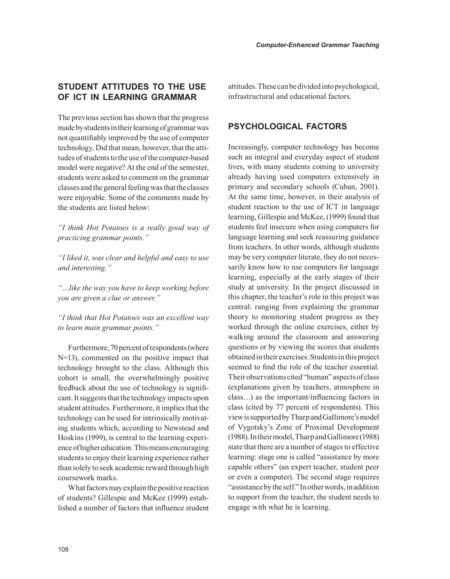# **student attitudes to the use of ict in learning grammar**

The previous section has shown that the progress made by students in their learning of grammar was not quantifiably improved by the use of computer technology. Did that mean, however, that the attitudes of students to the use of the computer-based model were negative? At the end of the semester, students were asked to comment on the grammar classes and the general feeling was that the classes were enjoyable. Some of the comments made by the students are listed below:

*"I think Hot Potatoes is a really good way of practicing grammar points."* 

*"I liked it, was clear and helpful and easy to use and interesting."*

*"…like the way you have to keep working before you are given a clue or answer."*

*"I think that Hot Potatoes was an excellent way to learn main grammar points.*"

Furthermore, 70 percent of respondents (where N=13), commented on the positive impact that technology brought to the class. Although this cohort is small, the overwhelmingly positive feedback about the use of technology is significant. It suggests that the technology impacts upon student attitudes. Furthermore, it implies that the technology can be used for intrinsically motivating students which, according to Newstead and Hoskins (1999), is central to the learning experience of higher education. This means encouraging students to enjoy their learning experience rather than solely to seek academic reward through high coursework marks.

What factors may explain the positive reaction of students? Gillespie and McKee (1999) established a number of factors that influence student attitudes. These can be divided into psychological, infrastructural and educational factors.

# **PsYchological factors**

Increasingly, computer technology has become such an integral and everyday aspect of student lives, with many students coming to university already having used computers extensively in primary and secondary schools (Cuban, 2001). At the same time, however, in their analysis of student reaction to the use of ICT in language learning, Gillespie and McKee, (1999) found that students feel insecure when using computers for language learning and seek reassuring guidance from teachers. In other words, although students may be very computer literate, they do not necessarily know how to use computers for language learning, especially at the early stages of their study at university. In the project discussed in this chapter, the teacher's role in this project was central: ranging from explaining the grammar theory to monitoring student progress as they worked through the online exercises, either by walking around the classroom and answering questions or by viewing the scores that students obtained in their exercises. Students in this project seemed to find the role of the teacher essential. Their observations cited "human" aspects of class (explanations given by teachers, atmosphere in class…) as the important/influencing factors in class (cited by 77 percent of respondents). This view is supported by Tharp and Gallimore's model of Vygotsky's Zone of Proximal Development (1988). In their model, Tharp and Gallimore (1988) state that there are a number of stages to effective learning: stage one is called "assistance by more capable others" (an expert teacher, student peer or even a computer). The second stage requires "assistance by the self." In other words, in addition to support from the teacher, the student needs to engage with what he is learning.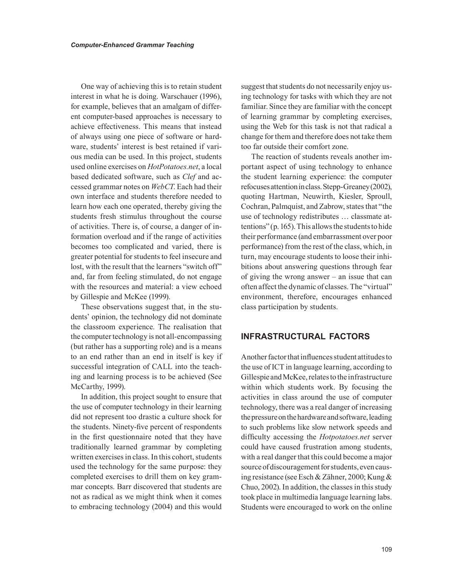One way of achieving this is to retain student interest in what he is doing. Warschauer (1996), for example, believes that an amalgam of different computer-based approaches is necessary to achieve effectiveness. This means that instead of always using one piece of software or hardware, students' interest is best retained if various media can be used. In this project, students used online exercises on *HotPotatoes.net*, a local based dedicated software, such as *Clef* and accessed grammar notes on *WebCT*. Each had their own interface and students therefore needed to learn how each one operated, thereby giving the students fresh stimulus throughout the course of activities. There is, of course, a danger of information overload and if the range of activities becomes too complicated and varied, there is greater potential for students to feel insecure and lost, with the result that the learners "switch off" and, far from feeling stimulated, do not engage with the resources and material: a view echoed by Gillespie and McKee (1999).

These observations suggest that, in the students' opinion, the technology did not dominate the classroom experience. The realisation that the computer technology is not all-encompassing (but rather has a supporting role) and is a means to an end rather than an end in itself is key if successful integration of CALL into the teaching and learning process is to be achieved (See McCarthy, 1999).

In addition, this project sought to ensure that the use of computer technology in their learning did not represent too drastic a culture shock for the students. Ninety-five percent of respondents in the first questionnaire noted that they have traditionally learned grammar by completing written exercises in class. In this cohort, students used the technology for the same purpose: they completed exercises to drill them on key grammar concepts. Barr discovered that students are not as radical as we might think when it comes to embracing technology (2004) and this would

suggest that students do not necessarily enjoy using technology for tasks with which they are not familiar. Since they are familiar with the concept of learning grammar by completing exercises, using the Web for this task is not that radical a change for them and therefore does not take them too far outside their comfort zone.

The reaction of students reveals another important aspect of using technology to enhance the student learning experience: the computer refocuses attention in class. Stepp-Greaney (2002), quoting Hartman, Neuwirth, Kiesler, Sproull, Cochran, Palmquist, and Zabrow, states that "the use of technology redistributes … classmate attentions" (p. 165). This allows the students to hide their performance (and embarrassment over poor performance) from the rest of the class, which, in turn, may encourage students to loose their inhibitions about answering questions through fear of giving the wrong answer – an issue that can often affect the dynamic of classes. The "virtual" environment, therefore, encourages enhanced class participation by students.

#### **infrastructural factors**

Another factor that influences student attitudes to the use of ICT in language learning, according to Gillespie and McKee, relates to the infrastructure within which students work. By focusing the activities in class around the use of computer technology, there was a real danger of increasing the pressure on the hardware and software, leading to such problems like slow network speeds and difficulty accessing the *Hotpotatoes.net* server could have caused frustration among students, with a real danger that this could become a major source of discouragement for students, even causing resistance (see Esch & Zähner, 2000; Kung & Chuo, 2002). In addition, the classes in this study took place in multimedia language learning labs. Students were encouraged to work on the online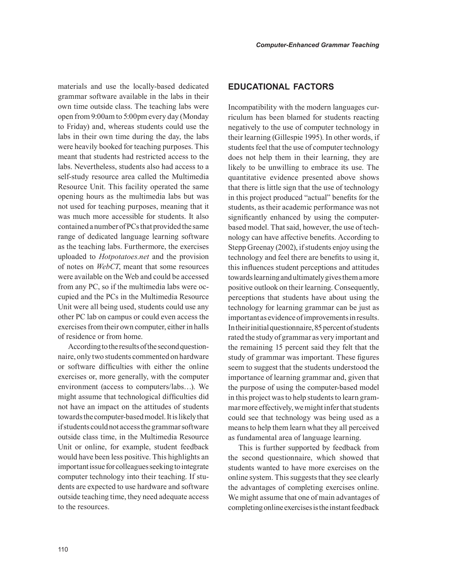*Computer-Enhanced Grammar Teaching*

materials and use the locally-based dedicated grammar software available in the labs in their own time outside class. The teaching labs were open from 9:00am to 5:00pm every day (Monday to Friday) and, whereas students could use the labs in their own time during the day, the labs were heavily booked for teaching purposes. This meant that students had restricted access to the labs. Nevertheless, students also had access to a self-study resource area called the Multimedia Resource Unit. This facility operated the same opening hours as the multimedia labs but was not used for teaching purposes, meaning that it was much more accessible for students. It also contained a number of PCs that provided the same range of dedicated language learning software as the teaching labs. Furthermore, the exercises uploaded to *Hotpotatoes.net* and the provision of notes on *WebCT*, meant that some resources were available on the Web and could be accessed from any PC, so if the multimedia labs were occupied and the PCs in the Multimedia Resource Unit were all being used, students could use any other PC lab on campus or could even access the exercises from their own computer, either in halls of residence or from home.

According to the results of the second questionnaire, only two students commented on hardware or software difficulties with either the online exercises or, more generally, with the computer environment (access to computers/labs…). We might assume that technological difficulties did not have an impact on the attitudes of students towards the computer-based model. It is likely that if students could not access the grammar software outside class time, in the Multimedia Resource Unit or online, for example, student feedback would have been less positive. This highlights an important issue for colleagues seeking to integrate computer technology into their teaching. If students are expected to use hardware and software outside teaching time, they need adequate access to the resources.

#### **educational factors**

Incompatibility with the modern languages curriculum has been blamed for students reacting negatively to the use of computer technology in their learning (Gillespie 1995). In other words, if students feel that the use of computer technology does not help them in their learning, they are likely to be unwilling to embrace its use. The quantitative evidence presented above shows that there is little sign that the use of technology in this project produced "actual" benefits for the students, as their academic performance was not significantly enhanced by using the computerbased model. That said, however, the use of technology can have affective benefits. According to Stepp Greenay (2002), if students enjoy using the technology and feel there are benefits to using it, this influences student perceptions and attitudes towards learning and ultimately gives them a more positive outlook on their learning. Consequently, perceptions that students have about using the technology for learning grammar can be just as important as evidence of improvements in results. In their initial questionnaire, 85 percent of students rated the study of grammar as very important and the remaining 15 percent said they felt that the study of grammar was important. These figures seem to suggest that the students understood the importance of learning grammar and, given that the purpose of using the computer-based model in this project was to help students to learn grammar more effectively, we might infer that students could see that technology was being used as a means to help them learn what they all perceived as fundamental area of language learning.

This is further supported by feedback from the second questionnaire, which showed that students wanted to have more exercises on the online system. This suggests that they see clearly the advantages of completing exercises online. We might assume that one of main advantages of completing online exercises is the instant feedback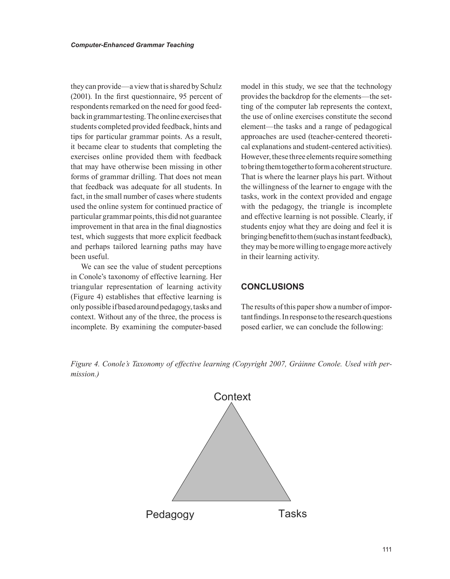they can provide—a view that is shared by Schulz (2001). In the first questionnaire, 95 percent of respondents remarked on the need for good feedback in grammar testing. The online exercises that students completed provided feedback, hints and tips for particular grammar points. As a result, it became clear to students that completing the exercises online provided them with feedback that may have otherwise been missing in other forms of grammar drilling. That does not mean that feedback was adequate for all students. In fact, in the small number of cases where students used the online system for continued practice of particular grammar points, this did not guarantee improvement in that area in the final diagnostics test, which suggests that more explicit feedback and perhaps tailored learning paths may have been useful.

We can see the value of student perceptions in Conole's taxonomy of effective learning. Her triangular representation of learning activity (Figure 4) establishes that effective learning is only possible if based around pedagogy, tasks and context. Without any of the three, the process is incomplete. By examining the computer-based

model in this study, we see that the technology provides the backdrop for the elements—the setting of the computer lab represents the context, the use of online exercises constitute the second element—the tasks and a range of pedagogical approaches are used (teacher-centered theoretical explanations and student-centered activities). However, these three elements require something to bring them together to form a coherent structure. That is where the learner plays his part. Without the willingness of the learner to engage with the tasks, work in the context provided and engage with the pedagogy, the triangle is incomplete and effective learning is not possible. Clearly, if students enjoy what they are doing and feel it is bringing benefit to them (such as instant feedback), they may be more willing to engage more actively in their learning activity.

#### **conclusions**

The results of this paper show a number of important findings. In response to the research questions posed earlier, we can conclude the following:

*Figure 4. Conole's Taxonomy of effective learning (Copyright 2007, Gráinne Conole. Used with permission.)*

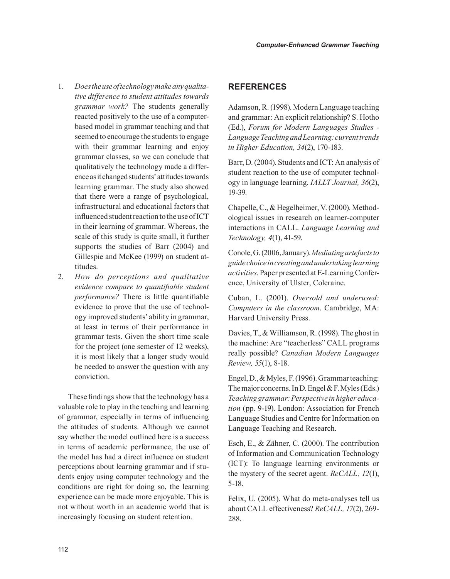- 1. *Does the use of technology make any qualitative difference to student attitudes towards grammar work?* The students generally reacted positively to the use of a computerbased model in grammar teaching and that seemed to encourage the students to engage with their grammar learning and enjoy grammar classes, so we can conclude that qualitatively the technology made a difference as it changed students' attitudes towards learning grammar. The study also showed that there were a range of psychological, infrastructural and educational factors that influenced student reaction to the use of ICT in their learning of grammar. Whereas, the scale of this study is quite small, it further supports the studies of Barr (2004) and Gillespie and McKee (1999) on student attitudes.
- 2. *How do perceptions and qualitative evidence compare to quantifiable student performance?* There is little quantifiable evidence to prove that the use of technology improved students' ability in grammar, at least in terms of their performance in grammar tests. Given the short time scale for the project (one semester of 12 weeks), it is most likely that a longer study would be needed to answer the question with any conviction.

These findings show that the technology has a valuable role to play in the teaching and learning of grammar, especially in terms of influencing the attitudes of students. Although we cannot say whether the model outlined here is a success in terms of academic performance, the use of the model has had a direct influence on student perceptions about learning grammar and if students enjoy using computer technology and the conditions are right for doing so, the learning experience can be made more enjoyable. This is not without worth in an academic world that is increasingly focusing on student retention.

## **references**

Adamson, R. (1998). Modern Language teaching and grammar: An explicit relationship? S. Hotho (Ed.), *Forum for Modern Languages Studies - Language Teaching and Learning: current trends in Higher Education, 34*(2), 170-183.

Barr, D. (2004). Students and ICT: An analysis of student reaction to the use of computer technology in language learning. *IALLT Journal, 36*(2), 19-39.

Chapelle, C., & Hegelheimer, V. (2000). Methodological issues in research on learner-computer interactions in CALL. *Language Learning and Technology, 4*(1), 41-59.

Conole, G. (2006, January). *Mediating artefacts to guide choice in creating and undertaking learning activities*. Paper presented at E-Learning Conference, University of Ulster, Coleraine.

Cuban, L. (2001). *Oversold and underused: Computers in the classroom*. Cambridge, MA: Harvard University Press.

Davies, T., & Williamson, R. (1998). The ghost in the machine: Are "teacherless" CALL programs really possible? *Canadian Modern Languages Review, 55*(1), 8-18.

Engel, D., & Myles, F. (1996). Grammar teaching: The major concerns. In D. Engel & F. Myles (Eds.) *Teaching grammar: Perspective in higher education* (pp. 9-19). London: Association for French Language Studies and Centre for Information on Language Teaching and Research.

Esch, E., & Zähner, C. (2000). The contribution of Information and Communication Technology (ICT): To language learning environments or the mystery of the secret agent. *ReCALL, 12*(1), 5-18.

Felix, U. (2005). What do meta-analyses tell us about CALL effectiveness? *ReCALL, 17*(2), 269- 288.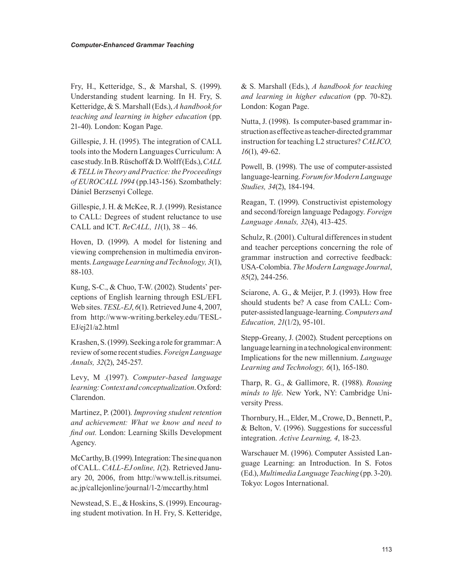Fry, H., Ketteridge, S., & Marshal, S. (1999). Understanding student learning. In H. Fry, S. Ketteridge, & S. Marshall (Eds.), *A handbook for teaching and learning in higher education* (pp. 21-40). London: Kogan Page.

Gillespie, J. H. (1995). The integration of CALL tools into the Modern Languages Curriculum: A case study. In B. Rüschoff & D. Wolff (Eds.), *CALL & TELL in Theory and Practice: the Proceedings of EUROCALL 1994* (pp.143-156). Szombathely: Dániel Berzsenyi College.

Gillespie, J. H. & McKee, R. J. (1999). Resistance to CALL: Degrees of student reluctance to use CALL and ICT. *ReCALL, 11*(1), 38 – 46.

Hoven, D. (1999). A model for listening and viewing comprehension in multimedia environments. *Language Learning and Technology, 3*(1), 88-103.

Kung, S-C., & Chuo, T-W. (2002). Students' perceptions of English learning through ESL/EFL Web sites. *TESL-EJ*, *6*(1). Retrieved June 4, 2007, from http://www-writing.berkeley.edu/TESL-EJ/ej21/a2.html

Krashen, S. (1999). Seeking a role for grammar: A review of some recent studies. *Foreign Language Annals, 32*(2), 245-257.

Levy, M .(1997). *Computer-based language learning: Context and conceptualization*. Oxford: Clarendon.

Martinez, P. (2001). *Improving student retention and achievement: What we know and need to find out.* London: Learning Skills Development Agency.

McCarthy, B. (1999). Integration: The sine qua non of CALL. *CALL-EJ online, 1*(2). Retrieved January 20, 2006, from http://www.tell.is.ritsumei. ac.jp/callejonline/journal/1-2/mccarthy.html

Newstead, S. E., & Hoskins, S. (1999). Encouraging student motivation. In H. Fry, S. Ketteridge,

& S. Marshall (Eds.), *A handbook for teaching and learning in higher education* (pp. 70-82). London: Kogan Page.

Nutta, J. (1998). Is computer-based grammar instruction as effective as teacher-directed grammar instruction for teaching L2 structures? *CALICO, 16*(1), 49-62.

Powell, B. (1998). The use of computer-assisted language-learning. *Forum for Modern Language Studies, 34*(2), 184-194.

Reagan, T. (1999). Constructivist epistemology and second/foreign language Pedagogy. *Foreign Language Annals, 32*(4), 413-425.

Schulz, R. (2001). Cultural differences in student and teacher perceptions concerning the role of grammar instruction and corrective feedback: USA-Colombia. *The Modern Language Journal*, *85*(2), 244-256.

Sciarone, A. G., & Meijer, P. J. (1993). How free should students be? A case from CALL: Computer-assisted language-learning. *Computers and Education, 21*(1/2), 95-101.

Stepp-Greany, J. (2002). Student perceptions on language learning in a technological environment: Implications for the new millennium. *Language Learning and Technology, 6*(1), 165-180.

Tharp, R. G., & Gallimore, R. (1988). *Rousing minds to life.* New York, NY: Cambridge University Press.

Thornbury, H.., Elder, M., Crowe, D., Bennett, P., & Belton, V. (1996). Suggestions for successful integration. *Active Learning, 4*, 18-23.

Warschauer M. (1996). Computer Assisted Language Learning: an Introduction. In S. Fotos (Ed.), *Multimedia Language Teaching* (pp. 3-20). Tokyo: Logos International.